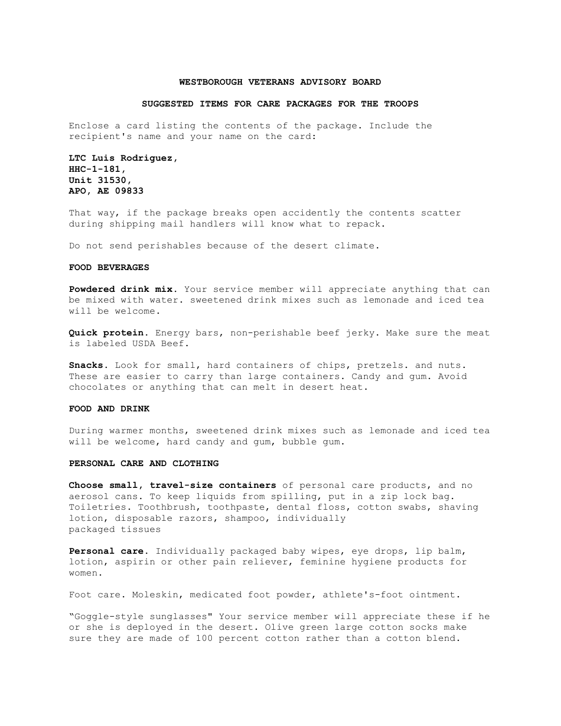#### **WESTBOROUGH VETERANS ADVISORY BOARD**

#### **SUGGESTED ITEMS FOR CARE PACKAGES FOR THE TROOPS**

Enclose a card listing the contents of the package. Include the recipient's name and your name on the card:

**LTC Luis Rodriguez, HHC-1-181, Unit 31530, APO, AE 09833**

That way, if the package breaks open accidently the contents scatter during shipping mail handlers will know what to repack.

Do not send perishables because of the desert climate.

# **FOOD BEVERAGES**

**Powdered drink mix**. Your service member will appreciate anything that can be mixed with water. sweetened drink mixes such as lemonade and iced tea will be welcome.

**Quick protein**. Energy bars, non-perishable beef jerky. Make sure the meat is labeled USDA Beef.

**Snacks**. Look for small, hard containers of chips, pretzels. and nuts. These are easier to carry than large containers. Candy and gum. Avoid chocolates or anything that can melt in desert heat.

## **FOOD AND DRINK**

During warmer months, sweetened drink mixes such as lemonade and iced tea will be welcome, hard candy and gum, bubble gum.

## **PERSONAL CARE AND CLOTHING**

**Choose small, travel-size containers** of personal care products, and no aerosol cans. To keep liquids from spilling, put in a zip lock bag. Toiletries. Toothbrush, toothpaste, dental floss, cotton swabs, shaving lotion, disposable razors, shampoo, individually packaged tissues

**Personal care**. Individually packaged baby wipes, eye drops, lip balm, lotion, aspirin or other pain reliever, feminine hygiene products for women.

Foot care. Moleskin, medicated foot powder, athlete's-foot ointment.

"Goggle-style sunglasses" Your service member will appreciate these if he or she is deployed in the desert. Olive green large cotton socks make sure they are made of 100 percent cotton rather than a cotton blend.